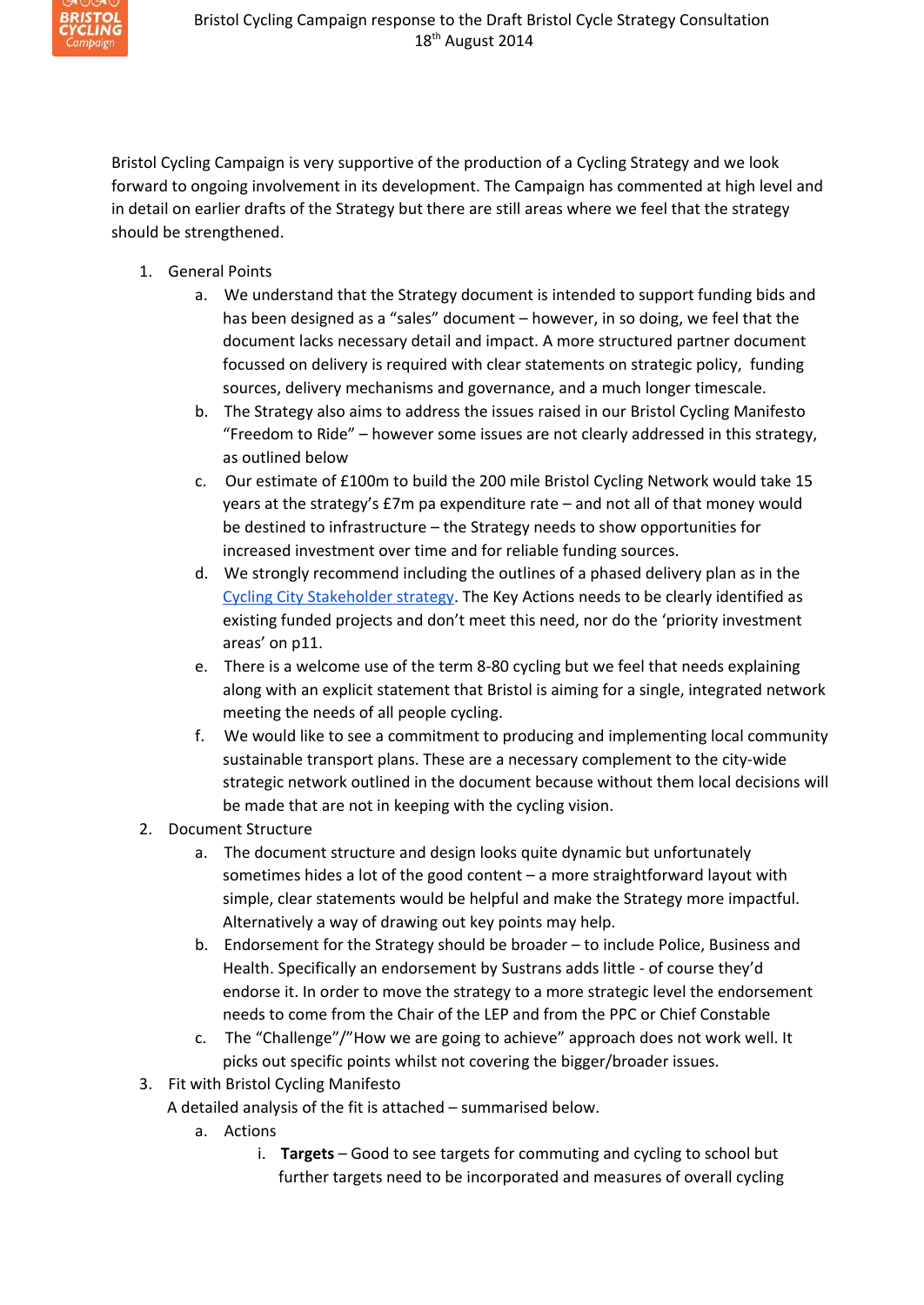

Bristol Cycling Campaign is very supportive of the production of a Cycling Strategy and we look forward to ongoing involvement in its development. The Campaign has commented at high level and in detail on earlier drafts of the Strategy but there are still areas where we feel that the strategy should be strengthened.

- 1. General Points
	- a. We understand that the Strategy document is intended to support funding bids and has been designed as a "sales" document – however, in so doing, we feel that the document lacks necessary detail and impact. A more structured partner document focussed on delivery is required with clear statements on strategic policy, funding sources, delivery mechanisms and governance, and a much longer timescale.
	- b. The Strategy also aims to address the issues raised in our Bristol Cycling Manifesto "Freedom to Ride" – however some issues are not clearly addressed in this strategy, as outlined below
	- c. Our estimate of £100m to build the 200 mile Bristol Cycling Network would take 15 years at the strategy's £7m pa expenditure rate – and not all of that money would be destined to infrastructure – the Strategy needs to show opportunities for increased investment over time and for reliable funding sources.
	- d. We strongly recommend including the outlines of a phased delivery plan as in the Cycling City [Stakeholder](http://www.google.com/url?q=http%3A%2F%2Fwww.betterbybike.info%2Fnews-events%2Fcampaigns%2Fbecoming-a-cycling-city%2Fworking-in-partnership%2Fsap-cycling-strategy&sa=D&sntz=1&usg=AFQjCNGXSWOKBiQurPpcmxlHmV47F4iQ3Q) strategy. The Key Actions needs to be clearly identified as existing funded projects and don't meet this need, nor do the 'priority investment areas' on p11.
	- e. There is a welcome use of the term 8-80 cycling but we feel that needs explaining along with an explicit statement that Bristol is aiming for a single, integrated network meeting the needs of all people cycling.
	- f. We would like to see a commitment to producing and implementing local community sustainable transport plans. These are a necessary complement to the city-wide strategic network outlined in the document because without them local decisions will be made that are not in keeping with the cycling vision.
- 2. Document Structure
	- a. The document structure and design looks quite dynamic but unfortunately sometimes hides a lot of the good content – a more straightforward layout with simple, clear statements would be helpful and make the Strategy more impactful. Alternatively a way of drawing out key points may help.
	- b. Endorsement for the Strategy should be broader to include Police, Business and Health. Specifically an endorsement by Sustrans adds little - of course they'd endorse it. In order to move the strategy to a more strategic level the endorsement needs to come from the Chair of the LEP and from the PPC or Chief Constable
	- c. The "Challenge"/"How we are going to achieve" approach does not work well. It picks out specific points whilst not covering the bigger/broader issues.
- 3. Fit with Bristol Cycling Manifesto

A detailed analysis of the fit is attached – summarised below.

- a. Actions
	- i. **Targets** Good to see targets for commuting and cycling to school but further targets need to be incorporated and measures of overall cycling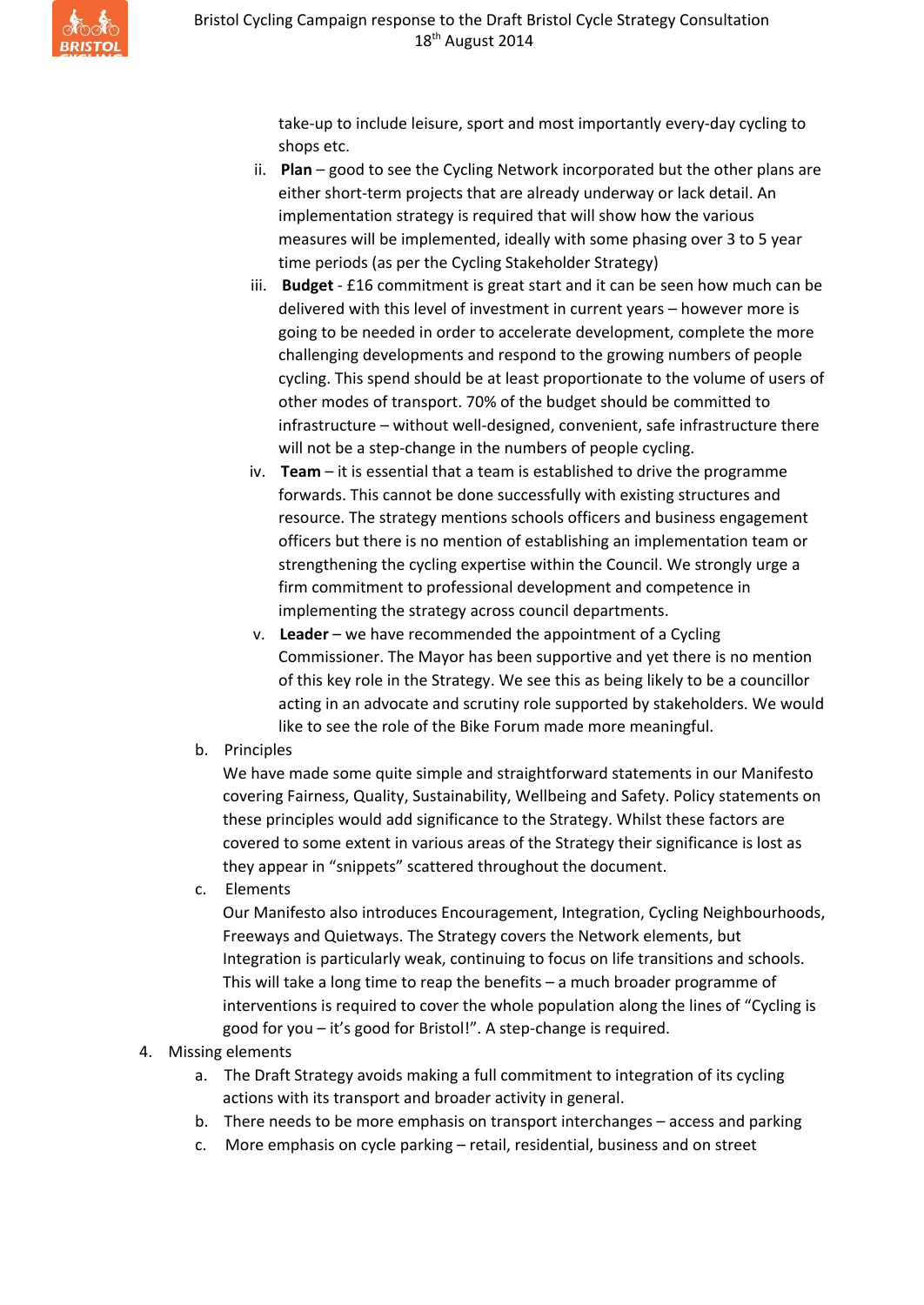take-up to include leisure, sport and most importantly every-day cycling to shops etc.

- ii. **Plan** good to see the Cycling Network incorporated but the other plans are either short-term projects that are already underway or lack detail. An implementation strategy is required that will show how the various measures will be implemented, ideally with some phasing over 3 to 5 year time periods (as per the Cycling Stakeholder Strategy)
- iii. **Budget** £16 commitment is great start and it can be seen how much can be delivered with this level of investment in current years – however more is going to be needed in order to accelerate development, complete the more challenging developments and respond to the growing numbers of people cycling. This spend should be at least proportionate to the volume of users of other modes of transport. 70% of the budget should be committed to infrastructure – without well-designed, convenient, safe infrastructure there will not be a step-change in the numbers of people cycling.
- iv. **Team** it is essential that a team is established to drive the programme forwards. This cannot be done successfully with existing structures and resource. The strategy mentions schools officers and business engagement officers but there is no mention of establishing an implementation team or strengthening the cycling expertise within the Council. We strongly urge a firm commitment to professional development and competence in implementing the strategy across council departments.
- v. **Leader** we have recommended the appointment of a Cycling Commissioner. The Mayor has been supportive and yet there is no mention of this key role in the Strategy. We see this as being likely to be a councillor acting in an advocate and scrutiny role supported by stakeholders. We would like to see the role of the Bike Forum made more meaningful.
- b. Principles

We have made some quite simple and straightforward statements in our Manifesto covering Fairness, Quality, Sustainability, Wellbeing and Safety. Policy statements on these principles would add significance to the Strategy. Whilst these factors are covered to some extent in various areas of the Strategy their significance is lost as they appear in "snippets" scattered throughout the document.

c. Elements

Our Manifesto also introduces Encouragement, Integration, Cycling Neighbourhoods, Freeways and Quietways. The Strategy covers the Network elements, but Integration is particularly weak, continuing to focus on life transitions and schools. This will take a long time to reap the benefits – a much broader programme of interventions is required to cover the whole population along the lines of "Cycling is good for you – it's good for Bristol!". A step-change is required.

- 4. Missing elements
	- a. The Draft Strategy avoids making a full commitment to integration of its cycling actions with its transport and broader activity in general.
	- b. There needs to be more emphasis on transport interchanges access and parking
	- c. More emphasis on cycle parking retail, residential, business and on street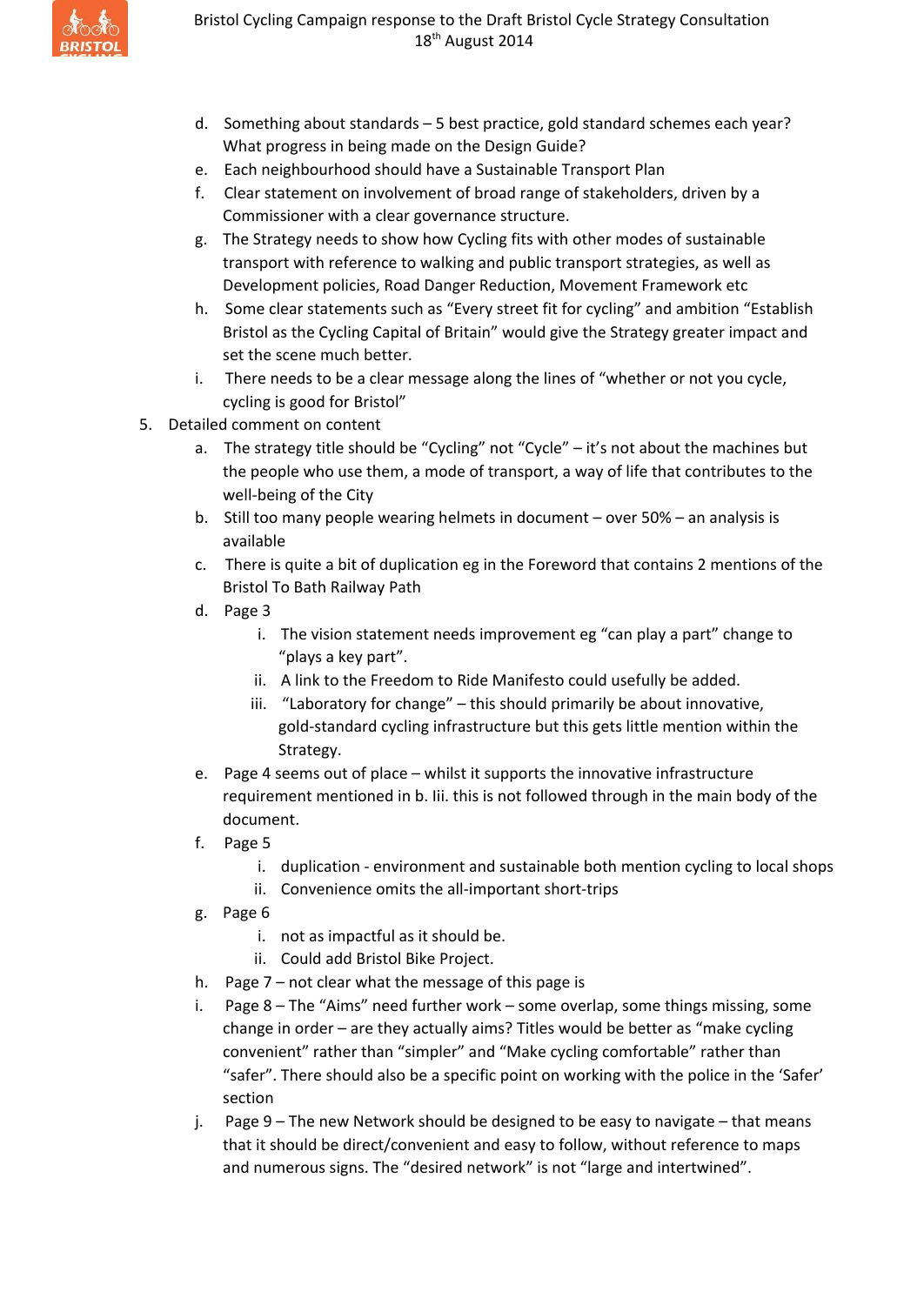

- d. Something about standards 5 best practice, gold standard schemes each year? What progress in being made on the Design Guide?
- e. Each neighbourhood should have a Sustainable Transport Plan
- f. Clear statement on involvement of broad range of stakeholders, driven by a Commissioner with a clear governance structure.
- g. The Strategy needs to show how Cycling fits with other modes of sustainable transport with reference to walking and public transport strategies, as well as Development policies, Road Danger Reduction, Movement Framework etc
- h. Some clear statements such as "Every street fit for cycling" and ambition "Establish Bristol as the Cycling Capital of Britain" would give the Strategy greater impact and set the scene much better.
- i. There needs to be a clear message along the lines of "whether or not you cycle, cycling is good for Bristol"
- 5. Detailed comment on content
	- a. The strategy title should be "Cycling" not "Cycle" it's not about the machines but the people who use them, a mode of transport, a way of life that contributes to the well-being of the City
	- b. Still too many people wearing helmets in document over 50% an analysis is available
	- c. There is quite a bit of duplication eg in the Foreword that contains 2 mentions of the Bristol To Bath Railway Path
	- d. Page 3
		- i. The vision statement needs improvement eg "can play a part" change to "plays a key part".
		- ii. A link to the Freedom to Ride Manifesto could usefully be added.
		- iii. "Laboratory for change" this should primarily be about innovative, gold-standard cycling infrastructure but this gets little mention within the Strategy.
	- e. Page 4 seems out of place whilst it supports the innovative infrastructure requirement mentioned in b. Iii. this is not followed through in the main body of the document.
	- f. Page 5
		- i. duplication environment and sustainable both mention cycling to local shops
		- ii. Convenience omits the all-important short-trips
	- g. Page 6
		- i. not as impactful as it should be.
		- ii. Could add Bristol Bike Project.
	- h. Page 7 not clear what the message of this page is
	- i. Page 8 The "Aims" need further work some overlap, some things missing, some change in order – are they actually aims? Titles would be better as "make cycling convenient" rather than "simpler" and "Make cycling comfortable" rather than "safer". There should also be a specific point on working with the police in the 'Safer' section
	- j. Page 9 The new Network should be designed to be easy to navigate that means that it should be direct/convenient and easy to follow, without reference to maps and numerous signs. The "desired network" is not "large and intertwined".